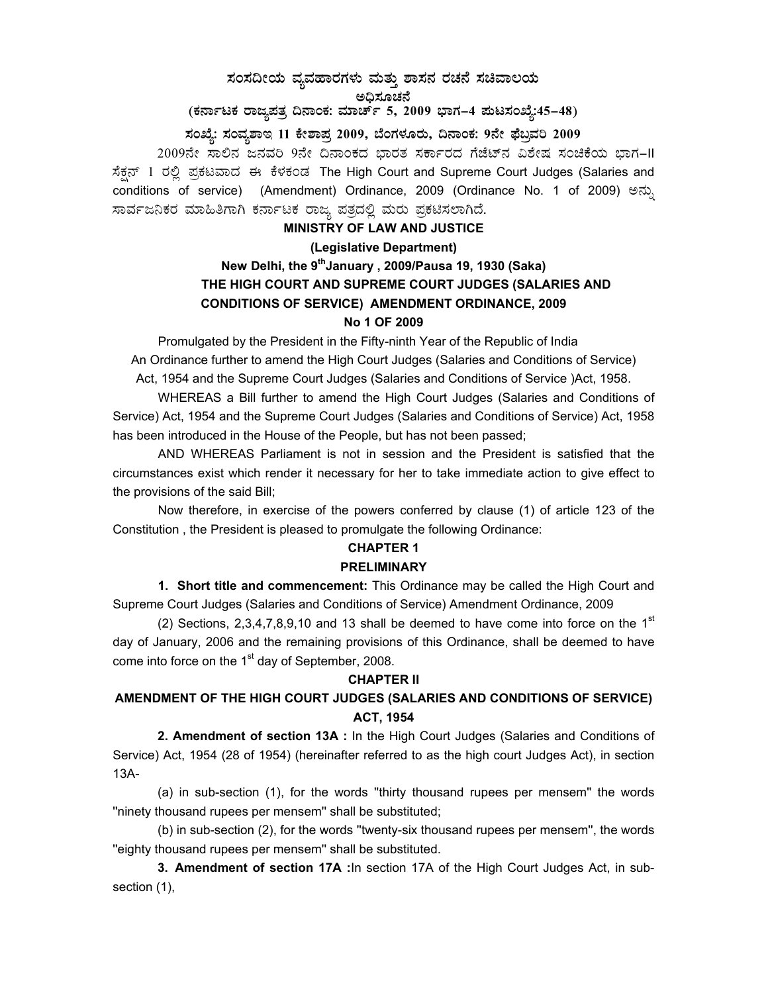# **¸ÀA¸À¢ÃAiÀÄ ªÀåªÀºÁgÀUÀ¼ÀÄ ªÀÄvÀÄÛ ±Á¸À£À gÀZÀ£É ¸ÀaªÁ®AiÀÄ**  ಅಧಿಸೂಚನೆ

(ಕರ್ನಾಟಕ ರಾಜ್ಯಪತ್ರ ದಿನಾಂಕ: ಮಾರ್ಚ್ 5, 2009 ಭಾಗ–4 **ಪುಟಸಂಖ್ಯೆ:45–48**)

**¸ÀASÉå: ¸ÀAªÀå±ÁE 11 PÉñÁ¥Àæ 2009, ¨ÉAUÀ¼ÀÆgÀÄ, ¢£ÁAPÀ: 9£Éà ¥sɧæªÀj 2009** 

2009ನೇ ಸಾಲಿನ ಜನವರಿ 9ನೇ ದಿನಾಂಕದ ಭಾರತ ಸರ್ಕಾರದ ಗೆಜೆಟ್ ವಿಶೇಷ ಸಂಚಿಕೆಯ ಭಾಗ-II ಸೆಕ್ಷನ್ 1 ರಲ್ಲಿ ಪ್ರಕಟವಾದ ಈ ಕೆಳಕಂಡ The High Court and Supreme Court Judges (Salaries and conditions of service) (Amendment) Ordinance, 2009 (Ordinance No. 1 of 2009) ಅನ್ಸು ಸಾರ್ವಜನಿಕರ ಮಾಹಿತಿಗಾಗಿ ಕರ್ನಾಟಕ ರಾಜ್ಯ ಪತ್ರದಲ್ಲಿ ಮರು ಪ್ರಕಟಿಸಲಾಗಿದೆ.

#### **MINISTRY OF LAW AND JUSTICE**

# **(Legislative Department) New Delhi, the 9thJanuary , 2009/Pausa 19, 1930 (Saka) THE HIGH COURT AND SUPREME COURT JUDGES (SALARIES AND CONDITIONS OF SERVICE) AMENDMENT ORDINANCE, 2009 No 1 OF 2009**

 Promulgated by the President in the Fifty-ninth Year of the Republic of India An Ordinance further to amend the High Court Judges (Salaries and Conditions of Service) Act, 1954 and the Supreme Court Judges (Salaries and Conditions of Service )Act, 1958.

 WHEREAS a Bill further to amend the High Court Judges (Salaries and Conditions of Service) Act, 1954 and the Supreme Court Judges (Salaries and Conditions of Service) Act, 1958 has been introduced in the House of the People, but has not been passed;

 AND WHEREAS Parliament is not in session and the President is satisfied that the circumstances exist which render it necessary for her to take immediate action to give effect to the provisions of the said Bill;

 Now therefore, in exercise of the powers conferred by clause (1) of article 123 of the Constitution , the President is pleased to promulgate the following Ordinance:

## **CHAPTER 1 PRELIMINARY**

 **1. Short title and commencement:** This Ordinance may be called the High Court and Supreme Court Judges (Salaries and Conditions of Service) Amendment Ordinance, 2009

(2) Sections,  $2,3,4,7,8,9,10$  and 13 shall be deemed to have come into force on the 1<sup>st</sup> day of January, 2006 and the remaining provisions of this Ordinance, shall be deemed to have come into force on the  $1<sup>st</sup>$  day of September, 2008.

#### **CHAPTER II**

# **AMENDMENT OF THE HIGH COURT JUDGES (SALARIES AND CONDITIONS OF SERVICE) ACT, 1954**

 **2. Amendment of section 13A :** In the High Court Judges (Salaries and Conditions of Service) Act, 1954 (28 of 1954) (hereinafter referred to as the high court Judges Act), in section 13A-

 (a) in sub-section (1), for the words ''thirty thousand rupees per mensem'' the words ''ninety thousand rupees per mensem'' shall be substituted;

 (b) in sub-section (2), for the words ''twenty-six thousand rupees per mensem'', the words ''eighty thousand rupees per mensem'' shall be substituted.

**3. Amendment of section 17A :**In section 17A of the High Court Judges Act, in subsection (1),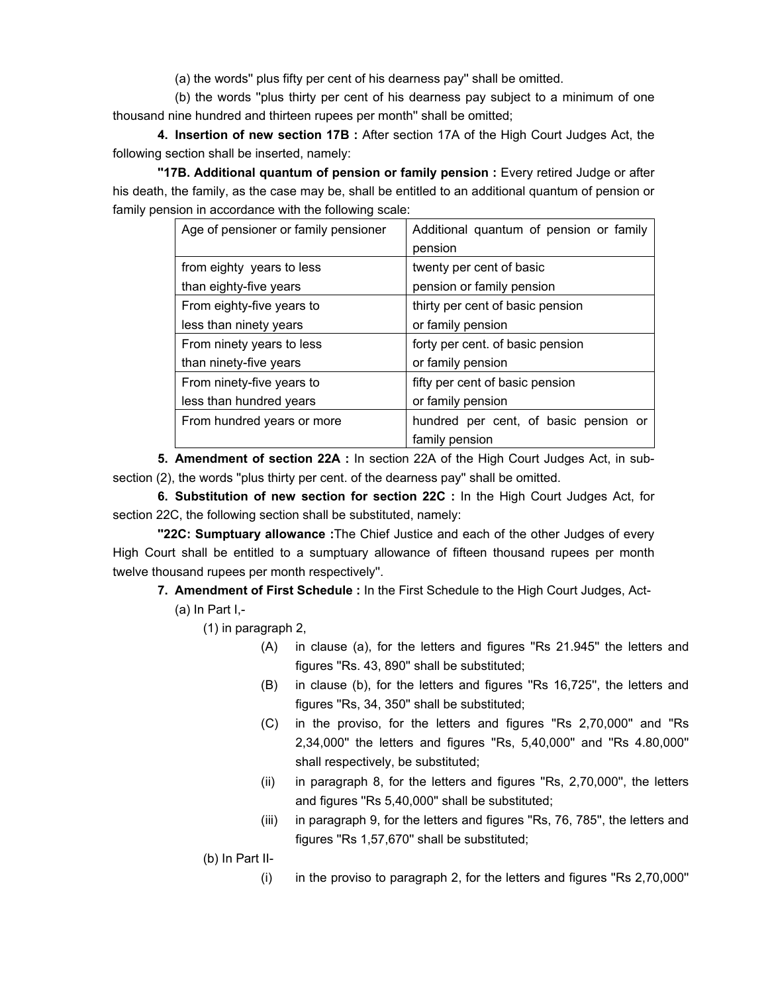(a) the words'' plus fifty per cent of his dearness pay'' shall be omitted.

 (b) the words ''plus thirty per cent of his dearness pay subject to a minimum of one thousand nine hundred and thirteen rupees per month'' shall be omitted;

**4. Insertion of new section 17B :** After section 17A of the High Court Judges Act, the following section shall be inserted, namely:

**''17B. Additional quantum of pension or family pension :** Every retired Judge or after his death, the family, as the case may be, shall be entitled to an additional quantum of pension or family pension in accordance with the following scale:

| Age of pensioner or family pensioner | Additional quantum of pension or family |  |  |  |  |  |
|--------------------------------------|-----------------------------------------|--|--|--|--|--|
|                                      | pension                                 |  |  |  |  |  |
| from eighty years to less            | twenty per cent of basic                |  |  |  |  |  |
| than eighty-five years               | pension or family pension               |  |  |  |  |  |
| From eighty-five years to            | thirty per cent of basic pension        |  |  |  |  |  |
| less than ninety years               | or family pension                       |  |  |  |  |  |
| From ninety years to less            | forty per cent. of basic pension        |  |  |  |  |  |
| than ninety-five years               | or family pension                       |  |  |  |  |  |
| From ninety-five years to            | fifty per cent of basic pension         |  |  |  |  |  |
| less than hundred years              | or family pension                       |  |  |  |  |  |
| From hundred years or more           | hundred per cent, of basic pension or   |  |  |  |  |  |
|                                      | family pension                          |  |  |  |  |  |

**5. Amendment of section 22A :** In section 22A of the High Court Judges Act, in subsection (2), the words ''plus thirty per cent. of the dearness pay'' shall be omitted.

**6. Substitution of new section for section 22C :** In the High Court Judges Act, for section 22C, the following section shall be substituted, namely:

**''22C: Sumptuary allowance :**The Chief Justice and each of the other Judges of every High Court shall be entitled to a sumptuary allowance of fifteen thousand rupees per month twelve thousand rupees per month respectively''.

**7. Amendment of First Schedule :** In the First Schedule to the High Court Judges, Act-

 $(a)$  In Part I,-

(1) in paragraph 2,

- (A) in clause (a), for the letters and figures ''Rs 21.945'' the letters and figures ''Rs. 43, 890'' shall be substituted;
- (B) in clause (b), for the letters and figures ''Rs 16,725'', the letters and figures ''Rs, 34, 350'' shall be substituted;
- (C) in the proviso, for the letters and figures ''Rs 2,70,000'' and ''Rs 2,34,000'' the letters and figures ''Rs, 5,40,000'' and ''Rs 4.80,000'' shall respectively, be substituted;
- (ii) in paragraph 8, for the letters and figures ''Rs, 2,70,000'', the letters and figures ''Rs 5,40,000'' shall be substituted;
- (iii) in paragraph 9, for the letters and figures ''Rs, 76, 785'', the letters and figures ''Rs 1,57,670'' shall be substituted;

(b) In Part II-

 $(i)$  in the proviso to paragraph 2, for the letters and figures "Rs 2,70,000"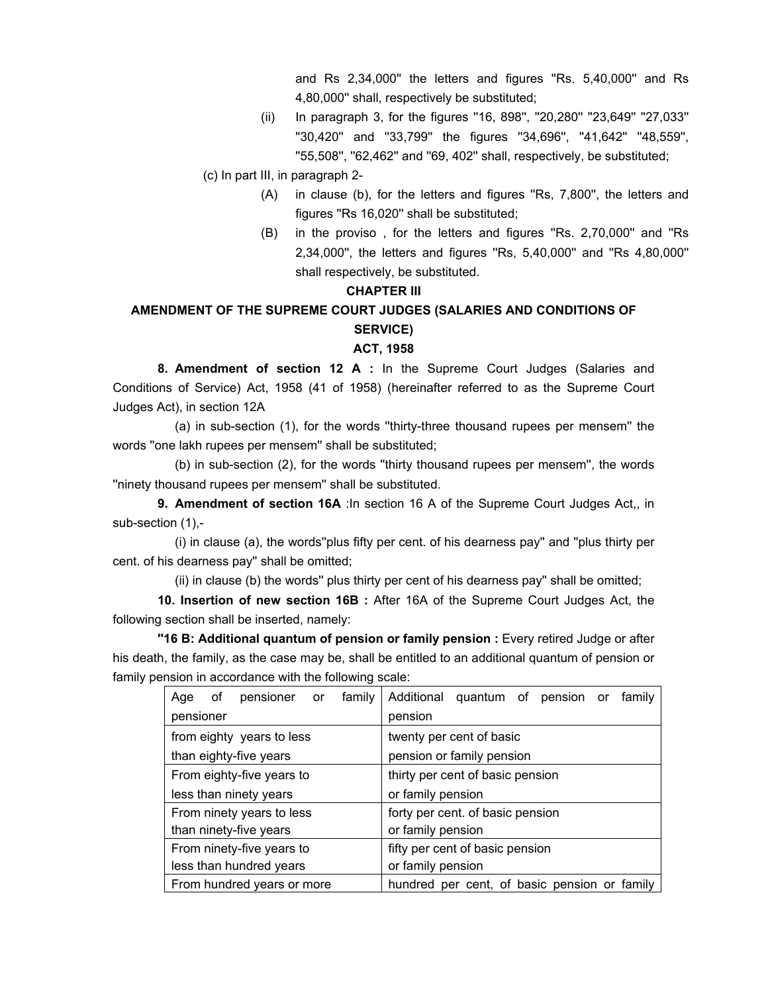and Rs 2,34,000'' the letters and figures ''Rs. 5,40,000'' and Rs 4,80,000'' shall, respectively be substituted;

(ii) In paragraph 3, for the figures ''16, 898'', ''20,280'' ''23,649'' ''27,033'' ''30,420'' and ''33,799'' the figures ''34,696'', ''41,642'' ''48,559'', ''55,508'', ''62,462'' and ''69, 402'' shall, respectively, be substituted;

(c) In part III, in paragraph 2-

- (A) in clause (b), for the letters and figures ''Rs, 7,800'', the letters and figures ''Rs 16,020'' shall be substituted;
- (B) in the proviso , for the letters and figures ''Rs. 2,70,000'' and ''Rs 2,34,000'', the letters and figures ''Rs, 5,40,000'' and ''Rs 4,80,000'' shall respectively, be substituted.

## **CHAPTER III**

# **AMENDMENT OF THE SUPREME COURT JUDGES (SALARIES AND CONDITIONS OF SERVICE)**

## **ACT, 1958**

 **8. Amendment of section 12 A :** In the Supreme Court Judges (Salaries and Conditions of Service) Act, 1958 (41 of 1958) (hereinafter referred to as the Supreme Court Judges Act), in section 12A

 (a) in sub-section (1), for the words ''thirty-three thousand rupees per mensem'' the words ''one lakh rupees per mensem'' shall be substituted;

 (b) in sub-section (2), for the words ''thirty thousand rupees per mensem'', the words ''ninety thousand rupees per mensem'' shall be substituted.

**9. Amendment of section 16A** :In section 16 A of the Supreme Court Judges Act,, in sub-section (1),-

 (i) in clause (a), the words''plus fifty per cent. of his dearness pay'' and ''plus thirty per cent. of his dearness pay'' shall be omitted;

(ii) in clause (b) the words'' plus thirty per cent of his dearness pay'' shall be omitted;

**10. Insertion of new section 16B :** After 16A of the Supreme Court Judges Act, the following section shall be inserted, namely:

**''16 B: Additional quantum of pension or family pension :** Every retired Judge or after his death, the family, as the case may be, shall be entitled to an additional quantum of pension or family pension in accordance with the following scale:

| Age                        | οf | pensioner or |                                  | family                          | Additional                                   | quantum of pension or |  |  |  | family |  |
|----------------------------|----|--------------|----------------------------------|---------------------------------|----------------------------------------------|-----------------------|--|--|--|--------|--|
| pensioner                  |    |              |                                  |                                 | pension                                      |                       |  |  |  |        |  |
| from eighty years to less  |    |              |                                  | twenty per cent of basic        |                                              |                       |  |  |  |        |  |
| than eighty-five years     |    |              |                                  | pension or family pension       |                                              |                       |  |  |  |        |  |
| From eighty-five years to  |    |              | thirty per cent of basic pension |                                 |                                              |                       |  |  |  |        |  |
| less than ninety years     |    |              |                                  | or family pension               |                                              |                       |  |  |  |        |  |
| From ninety years to less  |    |              | forty per cent. of basic pension |                                 |                                              |                       |  |  |  |        |  |
| than ninety-five years     |    |              |                                  | or family pension               |                                              |                       |  |  |  |        |  |
| From ninety-five years to  |    |              |                                  | fifty per cent of basic pension |                                              |                       |  |  |  |        |  |
| less than hundred years    |    |              |                                  | or family pension               |                                              |                       |  |  |  |        |  |
| From hundred years or more |    |              |                                  |                                 | hundred per cent, of basic pension or family |                       |  |  |  |        |  |